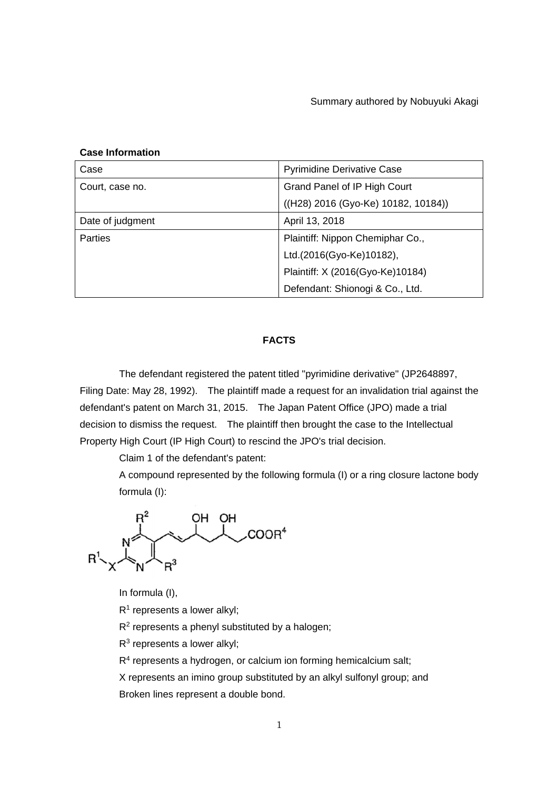# **Case Information**

| Case             | <b>Pyrimidine Derivative Case</b>   |
|------------------|-------------------------------------|
| Court, case no.  | Grand Panel of IP High Court        |
|                  | ((H28) 2016 (Gyo-Ke) 10182, 10184)) |
| Date of judgment | April 13, 2018                      |
| <b>Parties</b>   | Plaintiff: Nippon Chemiphar Co.,    |
|                  | Ltd.(2016(Gyo-Ke)10182),            |
|                  | Plaintiff: X (2016(Gyo-Ke)10184)    |
|                  | Defendant: Shionogi & Co., Ltd.     |

# **FACTS**

 The defendant registered the patent titled "pyrimidine derivative" (JP2648897, Filing Date: May 28, 1992). The plaintiff made a request for an invalidation trial against the defendant's patent on March 31, 2015. The Japan Patent Office (JPO) made a trial decision to dismiss the request. The plaintiff then brought the case to the Intellectual Property High Court (IP High Court) to rescind the JPO's trial decision.

Claim 1 of the defendant's patent:

 A compound represented by the following formula (I) or a ring closure lactone body formula (I):

 $R^2$  OH OH<br>COOR<sup>4</sup>

In formula (I),

 $R<sup>1</sup>$  represents a lower alkyl;

R<sup>2</sup> represents a phenyl substituted by a halogen;

 $R<sup>3</sup>$  represents a lower alkyl;

R<sup>4</sup> represents a hydrogen, or calcium ion forming hemicalcium salt;

 X represents an imino group substituted by an alkyl sulfonyl group; and Broken lines represent a double bond.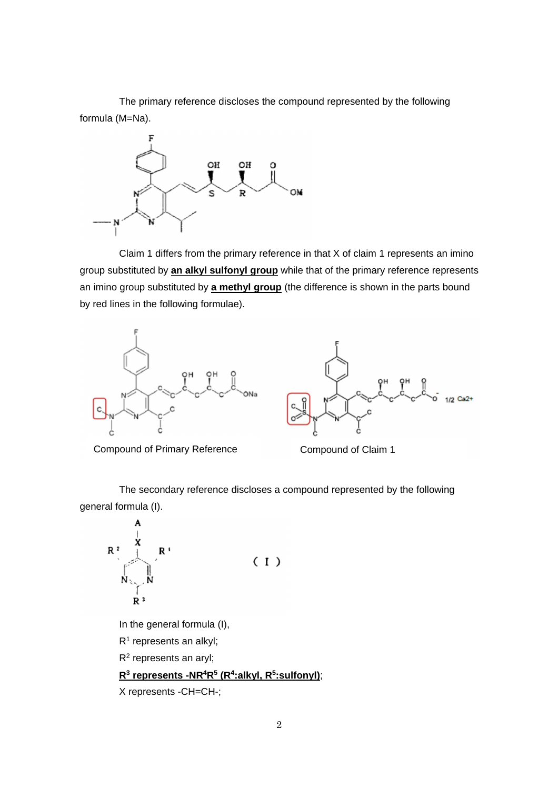The primary reference discloses the compound represented by the following formula (M=Na).



 Claim 1 differs from the primary reference in that X of claim 1 represents an imino group substituted by **an alkyl sulfonyl group** while that of the primary reference represents an imino group substituted by **a methyl group** (the difference is shown in the parts bound by red lines in the following formulae).





Compound of Primary Reference Compound of Claim 1

 The secondary reference discloses a compound represented by the following general formula (I).

$$
R^2
$$
\n
$$
R^2
$$
\n
$$
R^3
$$
\n
$$
R^3
$$
\n
$$
(1)
$$

In the general formula (I),

R<sup>1</sup> represents an alkyl;

R<sup>2</sup> represents an aryl;

# **R<sup>3</sup> represents -NR<sup>4</sup>R<sup>5</sup> (R<sup>4</sup> :alkyl, R<sup>5</sup> :sulfonyl)**;

X represents -CH=CH-;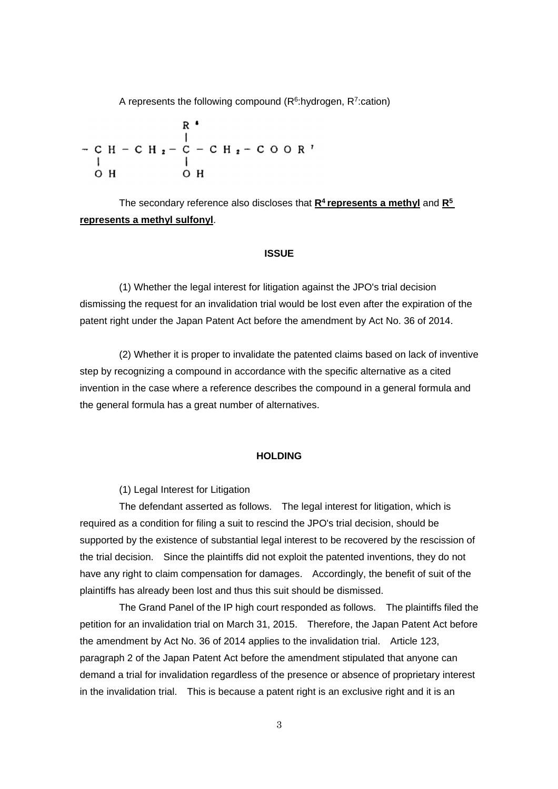A represents the following compound  $(R<sup>6</sup>:hydrogen, R<sup>7</sup>:cation)$ 

 The secondary reference also discloses that **R<sup>4</sup>represents a methyl** and **R<sup>5</sup> represents a methyl sulfonyl**.

### **ISSUE**

 (1) Whether the legal interest for litigation against the JPO's trial decision dismissing the request for an invalidation trial would be lost even after the expiration of the patent right under the Japan Patent Act before the amendment by Act No. 36 of 2014.

 (2) Whether it is proper to invalidate the patented claims based on lack of inventive step by recognizing a compound in accordance with the specific alternative as a cited invention in the case where a reference describes the compound in a general formula and the general formula has a great number of alternatives.

### **HOLDING**

(1) Legal Interest for Litigation

 The defendant asserted as follows. The legal interest for litigation, which is required as a condition for filing a suit to rescind the JPO's trial decision, should be supported by the existence of substantial legal interest to be recovered by the rescission of the trial decision. Since the plaintiffs did not exploit the patented inventions, they do not have any right to claim compensation for damages. Accordingly, the benefit of suit of the plaintiffs has already been lost and thus this suit should be dismissed.

 The Grand Panel of the IP high court responded as follows. The plaintiffs filed the petition for an invalidation trial on March 31, 2015. Therefore, the Japan Patent Act before the amendment by Act No. 36 of 2014 applies to the invalidation trial. Article 123, paragraph 2 of the Japan Patent Act before the amendment stipulated that anyone can demand a trial for invalidation regardless of the presence or absence of proprietary interest in the invalidation trial. This is because a patent right is an exclusive right and it is an

3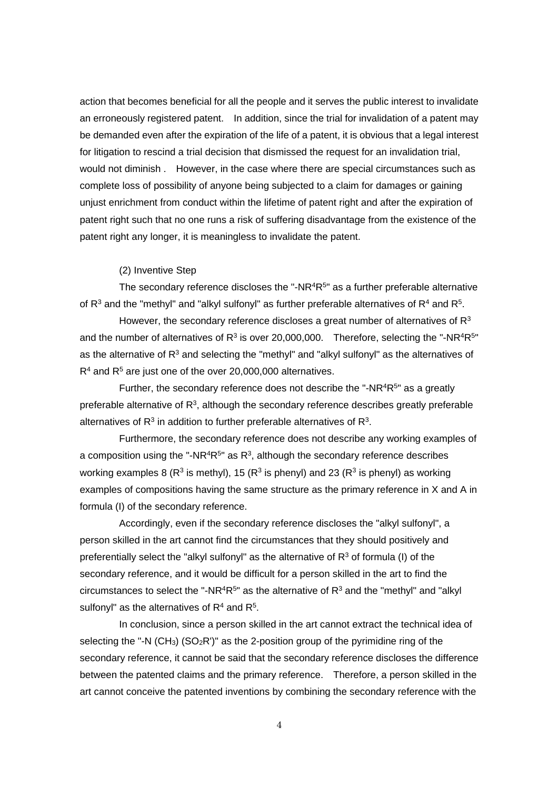action that becomes beneficial for all the people and it serves the public interest to invalidate an erroneously registered patent. In addition, since the trial for invalidation of a patent may be demanded even after the expiration of the life of a patent, it is obvious that a legal interest for litigation to rescind a trial decision that dismissed the request for an invalidation trial, would not diminish . However, in the case where there are special circumstances such as complete loss of possibility of anyone being subjected to a claim for damages or gaining unjust enrichment from conduct within the lifetime of patent right and after the expiration of patent right such that no one runs a risk of suffering disadvantage from the existence of the patent right any longer, it is meaningless to invalidate the patent.

#### (2) Inventive Step

The secondary reference discloses the "-NR $4R^{5}$ " as a further preferable alternative of  $R^3$  and the "methyl" and "alkyl sulfonyl" as further preferable alternatives of  $R^4$  and  $R^5$ .

However, the secondary reference discloses a great number of alternatives of  $R<sup>3</sup>$ and the number of alternatives of  $R^3$  is over 20,000,000. Therefore, selecting the "-NR<sup>4</sup>R<sup>5</sup>" as the alternative of  $R<sup>3</sup>$  and selecting the "methyl" and "alkyl sulfonyl" as the alternatives of  $R<sup>4</sup>$  and  $R<sup>5</sup>$  are just one of the over 20,000,000 alternatives.

Further, the secondary reference does not describe the "-NR $4R^{5}$ " as a greatly preferable alternative of  $R<sup>3</sup>$ , although the secondary reference describes greatly preferable alternatives of  $R<sup>3</sup>$  in addition to further preferable alternatives of  $R<sup>3</sup>$ .

 Furthermore, the secondary reference does not describe any working examples of a composition using the "-NR<sup>4</sup>R<sup>5</sup>" as R<sup>3</sup>, although the secondary reference describes working examples 8 ( $R^3$  is methyl), 15 ( $R^3$  is phenyl) and 23 ( $R^3$  is phenyl) as working examples of compositions having the same structure as the primary reference in X and A in formula (I) of the secondary reference.

 Accordingly, even if the secondary reference discloses the "alkyl sulfonyl", a person skilled in the art cannot find the circumstances that they should positively and preferentially select the "alkyl sulfonyl" as the alternative of  $R<sup>3</sup>$  of formula (I) of the secondary reference, and it would be difficult for a person skilled in the art to find the circumstances to select the "-NR<sup>4</sup>R<sup>5</sup>" as the alternative of R<sup>3</sup> and the "methyl" and "alkyl sulfonyl" as the alternatives of  $R<sup>4</sup>$  and  $R<sup>5</sup>$ .

 In conclusion, since a person skilled in the art cannot extract the technical idea of selecting the "-N (CH<sub>3</sub>) (SO<sub>2</sub>R')" as the 2-position group of the pyrimidine ring of the secondary reference, it cannot be said that the secondary reference discloses the difference between the patented claims and the primary reference. Therefore, a person skilled in the art cannot conceive the patented inventions by combining the secondary reference with the

4